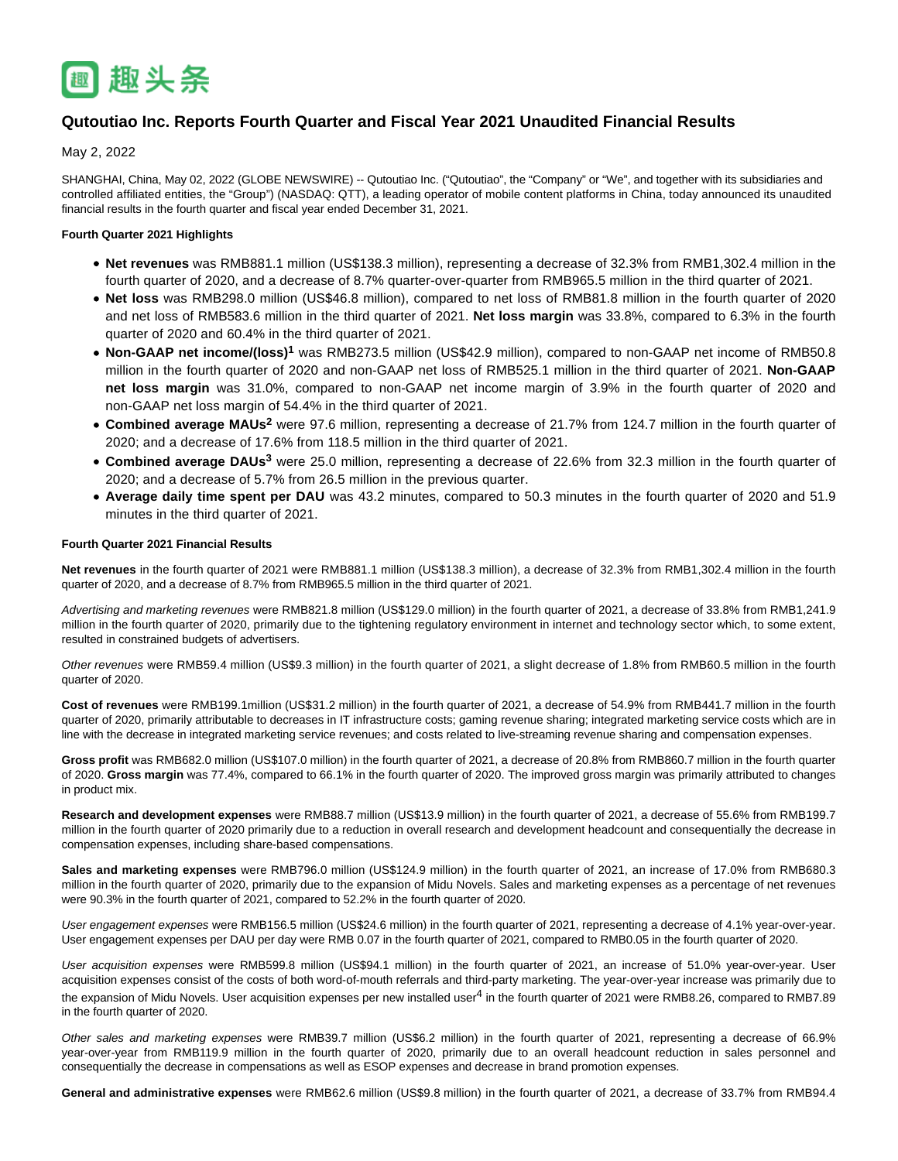

# **Qutoutiao Inc. Reports Fourth Quarter and Fiscal Year 2021 Unaudited Financial Results**

May 2, 2022

SHANGHAI, China, May 02, 2022 (GLOBE NEWSWIRE) -- Qutoutiao Inc. ("Qutoutiao", the "Company" or "We", and together with its subsidiaries and controlled affiliated entities, the "Group") (NASDAQ: QTT), a leading operator of mobile content platforms in China, today announced its unaudited financial results in the fourth quarter and fiscal year ended December 31, 2021.

## **Fourth Quarter 2021 Highlights**

- **Net revenues** was RMB881.1 million (US\$138.3 million), representing a decrease of 32.3% from RMB1,302.4 million in the fourth quarter of 2020, and a decrease of 8.7% quarter-over-quarter from RMB965.5 million in the third quarter of 2021.
- **Net loss** was RMB298.0 million (US\$46.8 million), compared to net loss of RMB81.8 million in the fourth quarter of 2020 and net loss of RMB583.6 million in the third quarter of 2021. **Net loss margin** was 33.8%, compared to 6.3% in the fourth quarter of 2020 and 60.4% in the third quarter of 2021.
- **Non-GAAP net income/(loss)<sup>1</sup>** was RMB273.5 million (US\$42.9 million), compared to non-GAAP net income of RMB50.8 million in the fourth quarter of 2020 and non-GAAP net loss of RMB525.1 million in the third quarter of 2021. **Non-GAAP net loss margin** was 31.0%, compared to non-GAAP net income margin of 3.9% in the fourth quarter of 2020 and non-GAAP net loss margin of 54.4% in the third quarter of 2021.
- Combined average MAUs<sup>2</sup> were 97.6 million, representing a decrease of 21.7% from 124.7 million in the fourth quarter of 2020; and a decrease of 17.6% from 118.5 million in the third quarter of 2021.
- Combined average DAUs<sup>3</sup> were 25.0 million, representing a decrease of 22.6% from 32.3 million in the fourth quarter of 2020; and a decrease of 5.7% from 26.5 million in the previous quarter.
- **Average daily time spent per DAU** was 43.2 minutes, compared to 50.3 minutes in the fourth quarter of 2020 and 51.9 minutes in the third quarter of 2021.

## **Fourth Quarter 2021 Financial Results**

**Net revenues** in the fourth quarter of 2021 were RMB881.1 million (US\$138.3 million), a decrease of 32.3% from RMB1,302.4 million in the fourth quarter of 2020, and a decrease of 8.7% from RMB965.5 million in the third quarter of 2021.

Advertising and marketing revenues were RMB821.8 million (US\$129.0 million) in the fourth quarter of 2021, a decrease of 33.8% from RMB1,241.9 million in the fourth quarter of 2020, primarily due to the tightening regulatory environment in internet and technology sector which, to some extent, resulted in constrained budgets of advertisers.

Other revenues were RMB59.4 million (US\$9.3 million) in the fourth quarter of 2021, a slight decrease of 1.8% from RMB60.5 million in the fourth quarter of 2020.

**Cost of revenues** were RMB199.1million (US\$31.2 million) in the fourth quarter of 2021, a decrease of 54.9% from RMB441.7 million in the fourth quarter of 2020, primarily attributable to decreases in IT infrastructure costs; gaming revenue sharing; integrated marketing service costs which are in line with the decrease in integrated marketing service revenues; and costs related to live-streaming revenue sharing and compensation expenses.

**Gross profit** was RMB682.0 million (US\$107.0 million) in the fourth quarter of 2021, a decrease of 20.8% from RMB860.7 million in the fourth quarter of 2020. **Gross margin** was 77.4%, compared to 66.1% in the fourth quarter of 2020. The improved gross margin was primarily attributed to changes in product mix.

**Research and development expenses** were RMB88.7 million (US\$13.9 million) in the fourth quarter of 2021, a decrease of 55.6% from RMB199.7 million in the fourth quarter of 2020 primarily due to a reduction in overall research and development headcount and consequentially the decrease in compensation expenses, including share-based compensations.

**Sales and marketing expenses** were RMB796.0 million (US\$124.9 million) in the fourth quarter of 2021, an increase of 17.0% from RMB680.3 million in the fourth quarter of 2020, primarily due to the expansion of Midu Novels. Sales and marketing expenses as a percentage of net revenues were 90.3% in the fourth quarter of 2021, compared to 52.2% in the fourth quarter of 2020.

User engagement expenses were RMB156.5 million (US\$24.6 million) in the fourth quarter of 2021, representing a decrease of 4.1% year-over-year. User engagement expenses per DAU per day were RMB 0.07 in the fourth quarter of 2021, compared to RMB0.05 in the fourth quarter of 2020.

User acquisition expenses were RMB599.8 million (US\$94.1 million) in the fourth quarter of 2021, an increase of 51.0% year-over-year. User acquisition expenses consist of the costs of both word-of-mouth referrals and third-party marketing. The year-over-year increase was primarily due to the expansion of Midu Novels. User acquisition expenses per new installed user<sup>4</sup> in the fourth quarter of 2021 were RMB8.26, compared to RMB7.89 in the fourth quarter of 2020.

Other sales and marketing expenses were RMB39.7 million (US\$6.2 million) in the fourth quarter of 2021, representing a decrease of 66.9% year-over-year from RMB119.9 million in the fourth quarter of 2020, primarily due to an overall headcount reduction in sales personnel and consequentially the decrease in compensations as well as ESOP expenses and decrease in brand promotion expenses.

**General and administrative expenses** were RMB62.6 million (US\$9.8 million) in the fourth quarter of 2021, a decrease of 33.7% from RMB94.4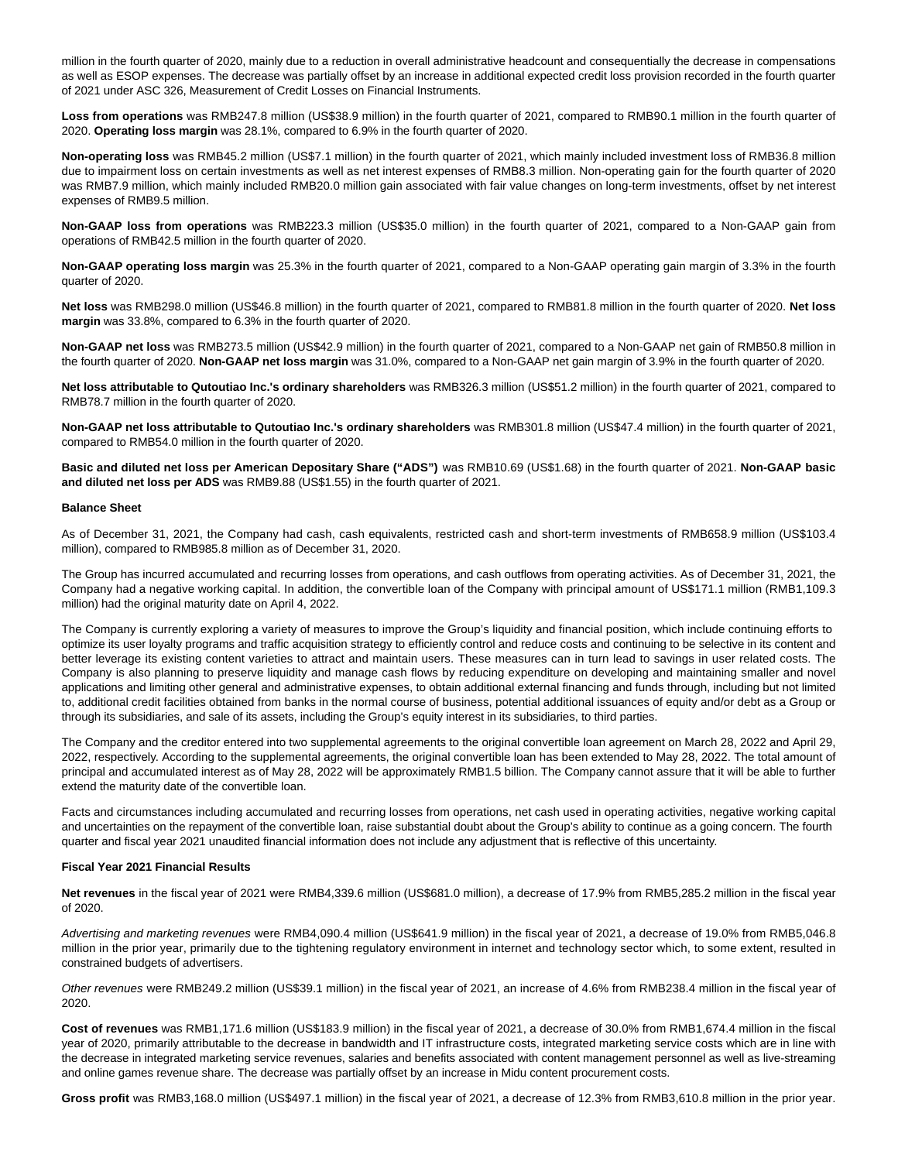million in the fourth quarter of 2020, mainly due to a reduction in overall administrative headcount and consequentially the decrease in compensations as well as ESOP expenses. The decrease was partially offset by an increase in additional expected credit loss provision recorded in the fourth quarter of 2021 under ASC 326, Measurement of Credit Losses on Financial Instruments.

**Loss from operations** was RMB247.8 million (US\$38.9 million) in the fourth quarter of 2021, compared to RMB90.1 million in the fourth quarter of 2020. **Operating loss margin** was 28.1%, compared to 6.9% in the fourth quarter of 2020.

**Non-operating loss** was RMB45.2 million (US\$7.1 million) in the fourth quarter of 2021, which mainly included investment loss of RMB36.8 million due to impairment loss on certain investments as well as net interest expenses of RMB8.3 million. Non-operating gain for the fourth quarter of 2020 was RMB7.9 million, which mainly included RMB20.0 million gain associated with fair value changes on long-term investments, offset by net interest expenses of RMB9.5 million.

**Non-GAAP loss from operations** was RMB223.3 million (US\$35.0 million) in the fourth quarter of 2021, compared to a Non-GAAP gain from operations of RMB42.5 million in the fourth quarter of 2020.

**Non-GAAP operating loss margin** was 25.3% in the fourth quarter of 2021, compared to a Non-GAAP operating gain margin of 3.3% in the fourth quarter of 2020.

**Net loss** was RMB298.0 million (US\$46.8 million) in the fourth quarter of 2021, compared to RMB81.8 million in the fourth quarter of 2020. **Net loss margin** was 33.8%, compared to 6.3% in the fourth quarter of 2020.

**Non-GAAP net loss** was RMB273.5 million (US\$42.9 million) in the fourth quarter of 2021, compared to a Non-GAAP net gain of RMB50.8 million in the fourth quarter of 2020. **Non-GAAP net loss margin** was 31.0%, compared to a Non-GAAP net gain margin of 3.9% in the fourth quarter of 2020.

**Net loss attributable to Qutoutiao Inc.'s ordinary shareholders** was RMB326.3 million (US\$51.2 million) in the fourth quarter of 2021, compared to RMB78.7 million in the fourth quarter of 2020.

**Non-GAAP net loss attributable to Qutoutiao Inc.'s ordinary shareholders** was RMB301.8 million (US\$47.4 million) in the fourth quarter of 2021, compared to RMB54.0 million in the fourth quarter of 2020.

**Basic and diluted net loss per American Depositary Share ("ADS")** was RMB10.69 (US\$1.68) in the fourth quarter of 2021. **Non-GAAP basic and diluted net loss per ADS** was RMB9.88 (US\$1.55) in the fourth quarter of 2021.

### **Balance Sheet**

As of December 31, 2021, the Company had cash, cash equivalents, restricted cash and short-term investments of RMB658.9 million (US\$103.4 million), compared to RMB985.8 million as of December 31, 2020.

The Group has incurred accumulated and recurring losses from operations, and cash outflows from operating activities. As of December 31, 2021, the Company had a negative working capital. In addition, the convertible loan of the Company with principal amount of US\$171.1 million (RMB1,109.3 million) had the original maturity date on April 4, 2022.

The Company is currently exploring a variety of measures to improve the Group's liquidity and financial position, which include continuing efforts to optimize its user loyalty programs and traffic acquisition strategy to efficiently control and reduce costs and continuing to be selective in its content and better leverage its existing content varieties to attract and maintain users. These measures can in turn lead to savings in user related costs. The Company is also planning to preserve liquidity and manage cash flows by reducing expenditure on developing and maintaining smaller and novel applications and limiting other general and administrative expenses, to obtain additional external financing and funds through, including but not limited to, additional credit facilities obtained from banks in the normal course of business, potential additional issuances of equity and/or debt as a Group or through its subsidiaries, and sale of its assets, including the Group's equity interest in its subsidiaries, to third parties.

The Company and the creditor entered into two supplemental agreements to the original convertible loan agreement on March 28, 2022 and April 29, 2022, respectively. According to the supplemental agreements, the original convertible loan has been extended to May 28, 2022. The total amount of principal and accumulated interest as of May 28, 2022 will be approximately RMB1.5 billion. The Company cannot assure that it will be able to further extend the maturity date of the convertible loan.

Facts and circumstances including accumulated and recurring losses from operations, net cash used in operating activities, negative working capital and uncertainties on the repayment of the convertible loan, raise substantial doubt about the Group's ability to continue as a going concern. The fourth quarter and fiscal year 2021 unaudited financial information does not include any adjustment that is reflective of this uncertainty.

#### **Fiscal Year 2021 Financial Results**

**Net revenues** in the fiscal year of 2021 were RMB4,339.6 million (US\$681.0 million), a decrease of 17.9% from RMB5,285.2 million in the fiscal year of 2020.

Advertising and marketing revenues were RMB4,090.4 million (US\$641.9 million) in the fiscal year of 2021, a decrease of 19.0% from RMB5,046.8 million in the prior year, primarily due to the tightening regulatory environment in internet and technology sector which, to some extent, resulted in constrained budgets of advertisers.

Other revenues were RMB249.2 million (US\$39.1 million) in the fiscal year of 2021, an increase of 4.6% from RMB238.4 million in the fiscal year of 2020.

**Cost of revenues** was RMB1,171.6 million (US\$183.9 million) in the fiscal year of 2021, a decrease of 30.0% from RMB1,674.4 million in the fiscal year of 2020, primarily attributable to the decrease in bandwidth and IT infrastructure costs, integrated marketing service costs which are in line with the decrease in integrated marketing service revenues, salaries and benefits associated with content management personnel as well as live-streaming and online games revenue share. The decrease was partially offset by an increase in Midu content procurement costs.

**Gross profit** was RMB3,168.0 million (US\$497.1 million) in the fiscal year of 2021, a decrease of 12.3% from RMB3,610.8 million in the prior year.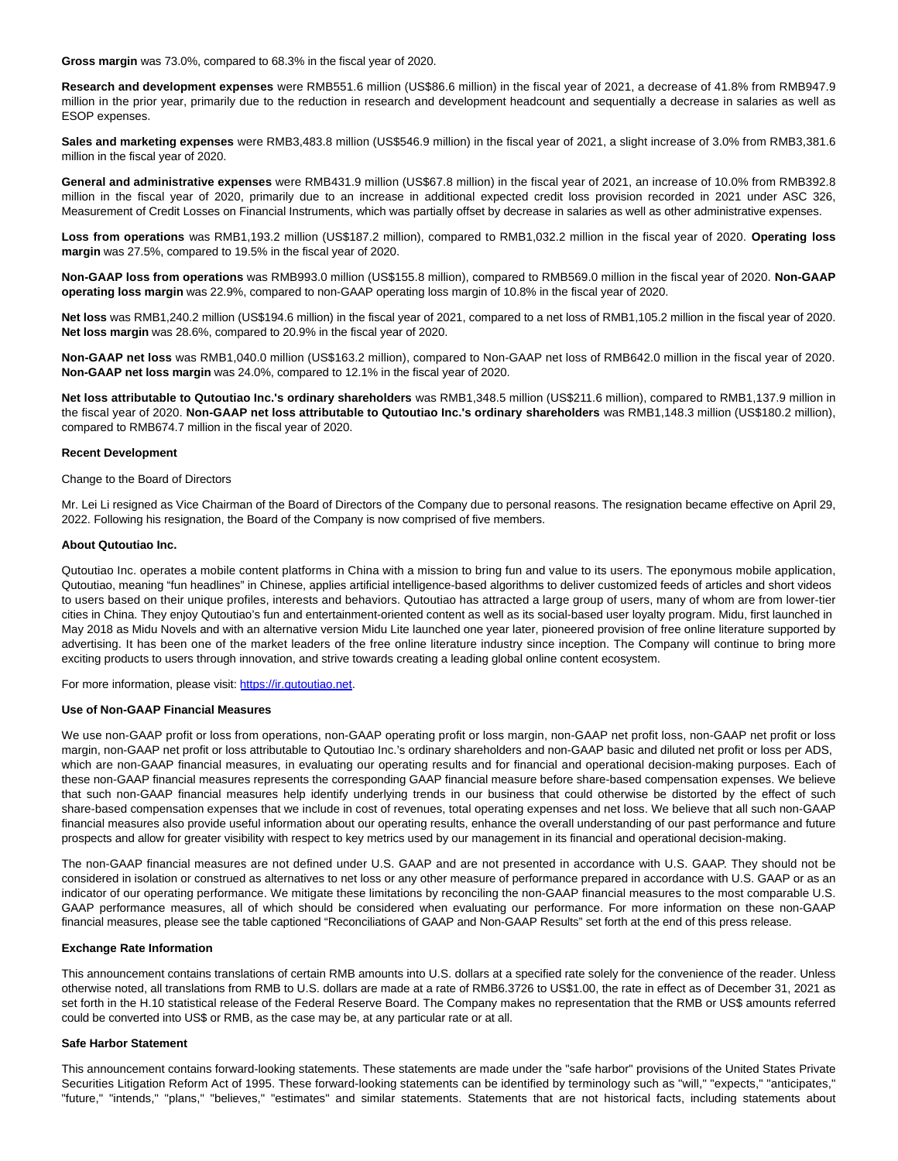**Gross margin** was 73.0%, compared to 68.3% in the fiscal year of 2020.

**Research and development expenses** were RMB551.6 million (US\$86.6 million) in the fiscal year of 2021, a decrease of 41.8% from RMB947.9 million in the prior year, primarily due to the reduction in research and development headcount and sequentially a decrease in salaries as well as ESOP expenses.

**Sales and marketing expenses** were RMB3,483.8 million (US\$546.9 million) in the fiscal year of 2021, a slight increase of 3.0% from RMB3,381.6 million in the fiscal year of 2020.

**General and administrative expenses** were RMB431.9 million (US\$67.8 million) in the fiscal year of 2021, an increase of 10.0% from RMB392.8 million in the fiscal year of 2020, primarily due to an increase in additional expected credit loss provision recorded in 2021 under ASC 326, Measurement of Credit Losses on Financial Instruments, which was partially offset by decrease in salaries as well as other administrative expenses.

**Loss from operations** was RMB1,193.2 million (US\$187.2 million), compared to RMB1,032.2 million in the fiscal year of 2020. **Operating loss margin** was 27.5%, compared to 19.5% in the fiscal year of 2020.

**Non-GAAP loss from operations** was RMB993.0 million (US\$155.8 million), compared to RMB569.0 million in the fiscal year of 2020. **Non-GAAP operating loss margin** was 22.9%, compared to non-GAAP operating loss margin of 10.8% in the fiscal year of 2020.

**Net loss** was RMB1,240.2 million (US\$194.6 million) in the fiscal year of 2021, compared to a net loss of RMB1,105.2 million in the fiscal year of 2020. **Net loss margin** was 28.6%, compared to 20.9% in the fiscal year of 2020.

**Non-GAAP net loss** was RMB1,040.0 million (US\$163.2 million), compared to Non-GAAP net loss of RMB642.0 million in the fiscal year of 2020. **Non-GAAP net loss margin** was 24.0%, compared to 12.1% in the fiscal year of 2020.

**Net loss attributable to Qutoutiao Inc.'s ordinary shareholders** was RMB1,348.5 million (US\$211.6 million), compared to RMB1,137.9 million in the fiscal year of 2020. **Non-GAAP net loss attributable to Qutoutiao Inc.'s ordinary shareholders** was RMB1,148.3 million (US\$180.2 million), compared to RMB674.7 million in the fiscal year of 2020.

### **Recent Development**

Change to the Board of Directors

Mr. Lei Li resigned as Vice Chairman of the Board of Directors of the Company due to personal reasons. The resignation became effective on April 29, 2022. Following his resignation, the Board of the Company is now comprised of five members.

### **About Qutoutiao Inc.**

Qutoutiao Inc. operates a mobile content platforms in China with a mission to bring fun and value to its users. The eponymous mobile application, Qutoutiao, meaning "fun headlines" in Chinese, applies artificial intelligence-based algorithms to deliver customized feeds of articles and short videos to users based on their unique profiles, interests and behaviors. Qutoutiao has attracted a large group of users, many of whom are from lower-tier cities in China. They enjoy Qutoutiao's fun and entertainment-oriented content as well as its social-based user loyalty program. Midu, first launched in May 2018 as Midu Novels and with an alternative version Midu Lite launched one year later, pioneered provision of free online literature supported by advertising. It has been one of the market leaders of the free online literature industry since inception. The Company will continue to bring more exciting products to users through innovation, and strive towards creating a leading global online content ecosystem.

For more information, please visit: [https://ir.qutoutiao.net.](https://www.globenewswire.com/Tracker?data=7GvszVsxItvu-j4yHM3VBaR8maX6Ard54NKW5OUbv7jHBEhwY06Q2xFhr78XueUBFR7PHWQTjhOMvVQeKLEvBw85ANnGPFkNp94fORXWwrk=)

### **Use of Non-GAAP Financial Measures**

We use non-GAAP profit or loss from operations, non-GAAP operating profit or loss margin, non-GAAP net profit loss, non-GAAP net profit or loss margin, non-GAAP net profit or loss attributable to Qutoutiao Inc.'s ordinary shareholders and non-GAAP basic and diluted net profit or loss per ADS, which are non-GAAP financial measures, in evaluating our operating results and for financial and operational decision-making purposes. Each of these non-GAAP financial measures represents the corresponding GAAP financial measure before share-based compensation expenses. We believe that such non-GAAP financial measures help identify underlying trends in our business that could otherwise be distorted by the effect of such share-based compensation expenses that we include in cost of revenues, total operating expenses and net loss. We believe that all such non-GAAP financial measures also provide useful information about our operating results, enhance the overall understanding of our past performance and future prospects and allow for greater visibility with respect to key metrics used by our management in its financial and operational decision-making.

The non-GAAP financial measures are not defined under U.S. GAAP and are not presented in accordance with U.S. GAAP. They should not be considered in isolation or construed as alternatives to net loss or any other measure of performance prepared in accordance with U.S. GAAP or as an indicator of our operating performance. We mitigate these limitations by reconciling the non-GAAP financial measures to the most comparable U.S. GAAP performance measures, all of which should be considered when evaluating our performance. For more information on these non-GAAP financial measures, please see the table captioned "Reconciliations of GAAP and Non-GAAP Results" set forth at the end of this press release.

#### **Exchange Rate Information**

This announcement contains translations of certain RMB amounts into U.S. dollars at a specified rate solely for the convenience of the reader. Unless otherwise noted, all translations from RMB to U.S. dollars are made at a rate of RMB6.3726 to US\$1.00, the rate in effect as of December 31, 2021 as set forth in the H.10 statistical release of the Federal Reserve Board. The Company makes no representation that the RMB or US\$ amounts referred could be converted into US\$ or RMB, as the case may be, at any particular rate or at all.

#### **Safe Harbor Statement**

This announcement contains forward-looking statements. These statements are made under the "safe harbor" provisions of the United States Private Securities Litigation Reform Act of 1995. These forward-looking statements can be identified by terminology such as "will," "expects," "anticipates," "future," "intends," "plans," "believes," "estimates" and similar statements. Statements that are not historical facts, including statements about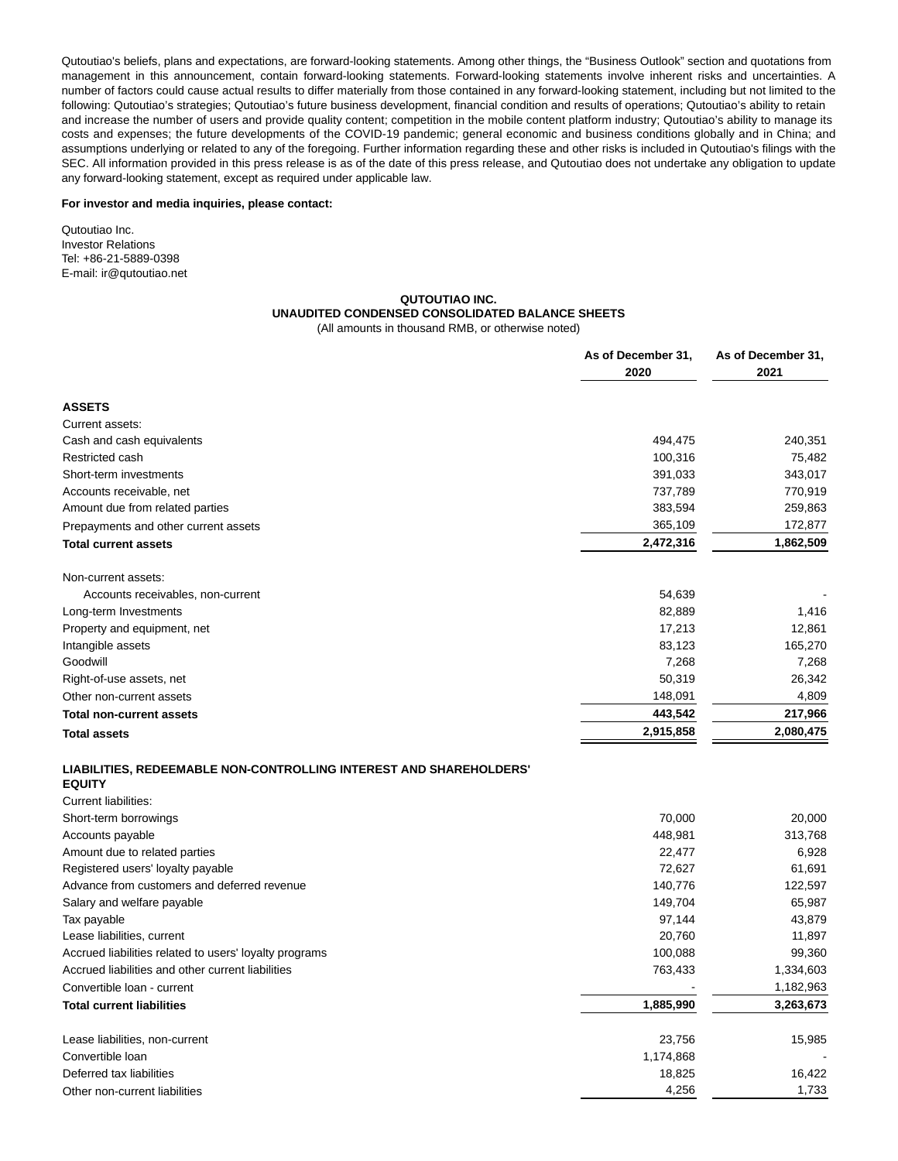Qutoutiao's beliefs, plans and expectations, are forward-looking statements. Among other things, the "Business Outlook" section and quotations from management in this announcement, contain forward-looking statements. Forward-looking statements involve inherent risks and uncertainties. A number of factors could cause actual results to differ materially from those contained in any forward-looking statement, including but not limited to the following: Qutoutiao's strategies; Qutoutiao's future business development, financial condition and results of operations; Qutoutiao's ability to retain and increase the number of users and provide quality content; competition in the mobile content platform industry; Qutoutiao's ability to manage its costs and expenses; the future developments of the COVID-19 pandemic; general economic and business conditions globally and in China; and assumptions underlying or related to any of the foregoing. Further information regarding these and other risks is included in Qutoutiao's filings with the SEC. All information provided in this press release is as of the date of this press release, and Qutoutiao does not undertake any obligation to update any forward-looking statement, except as required under applicable law.

#### **For investor and media inquiries, please contact:**

Qutoutiao Inc. Investor Relations Tel: +86-21-5889-0398 E-mail: ir@qutoutiao.net

## **QUTOUTIAO INC.**

## **UNAUDITED CONDENSED CONSOLIDATED BALANCE SHEETS**

**As of December 31, As of December 31,**

(All amounts in thousand RMB, or otherwise noted)

|                                                                                     | 2020      | 2021      |
|-------------------------------------------------------------------------------------|-----------|-----------|
| <b>ASSETS</b>                                                                       |           |           |
| Current assets:                                                                     |           |           |
| Cash and cash equivalents                                                           | 494,475   | 240,351   |
| Restricted cash                                                                     | 100,316   | 75,482    |
| Short-term investments                                                              | 391,033   | 343,017   |
| Accounts receivable, net                                                            | 737,789   | 770,919   |
| Amount due from related parties                                                     | 383,594   | 259,863   |
| Prepayments and other current assets                                                | 365,109   | 172,877   |
| <b>Total current assets</b>                                                         | 2,472,316 | 1,862,509 |
| Non-current assets:                                                                 |           |           |
| Accounts receivables, non-current                                                   | 54,639    |           |
| Long-term Investments                                                               | 82,889    | 1,416     |
| Property and equipment, net                                                         | 17,213    | 12,861    |
| Intangible assets                                                                   | 83,123    | 165,270   |
| Goodwill                                                                            | 7,268     | 7,268     |
| Right-of-use assets, net                                                            | 50,319    | 26,342    |
| Other non-current assets                                                            | 148,091   | 4,809     |
| <b>Total non-current assets</b>                                                     | 443,542   | 217,966   |
| <b>Total assets</b>                                                                 | 2,915,858 | 2,080,475 |
| LIABILITIES, REDEEMABLE NON-CONTROLLING INTEREST AND SHAREHOLDERS'<br><b>EQUITY</b> |           |           |
| Current liabilities:                                                                |           |           |
| Short-term borrowings                                                               | 70,000    | 20,000    |
| Accounts payable                                                                    | 448,981   | 313,768   |
| Amount due to related parties                                                       | 22,477    | 6,928     |
| Registered users' loyalty payable                                                   | 72,627    | 61,691    |
| Advance from customers and deferred revenue                                         | 140,776   | 122,597   |
| Salary and welfare payable                                                          | 149,704   | 65,987    |
| Tax payable                                                                         | 97,144    | 43,879    |
| Lease liabilities, current                                                          | 20,760    | 11,897    |
| Accrued liabilities related to users' loyalty programs                              | 100,088   | 99,360    |
| Accrued liabilities and other current liabilities                                   | 763,433   | 1,334,603 |
| Convertible loan - current                                                          |           | 1,182,963 |
| <b>Total current liabilities</b>                                                    | 1,885,990 | 3,263,673 |
| Lease liabilities, non-current                                                      | 23,756    | 15,985    |

Convertible loan 1,174,868 - Deferred tax liabilities 18,825 16,422 Other non-current liabilities **1,733** 1,733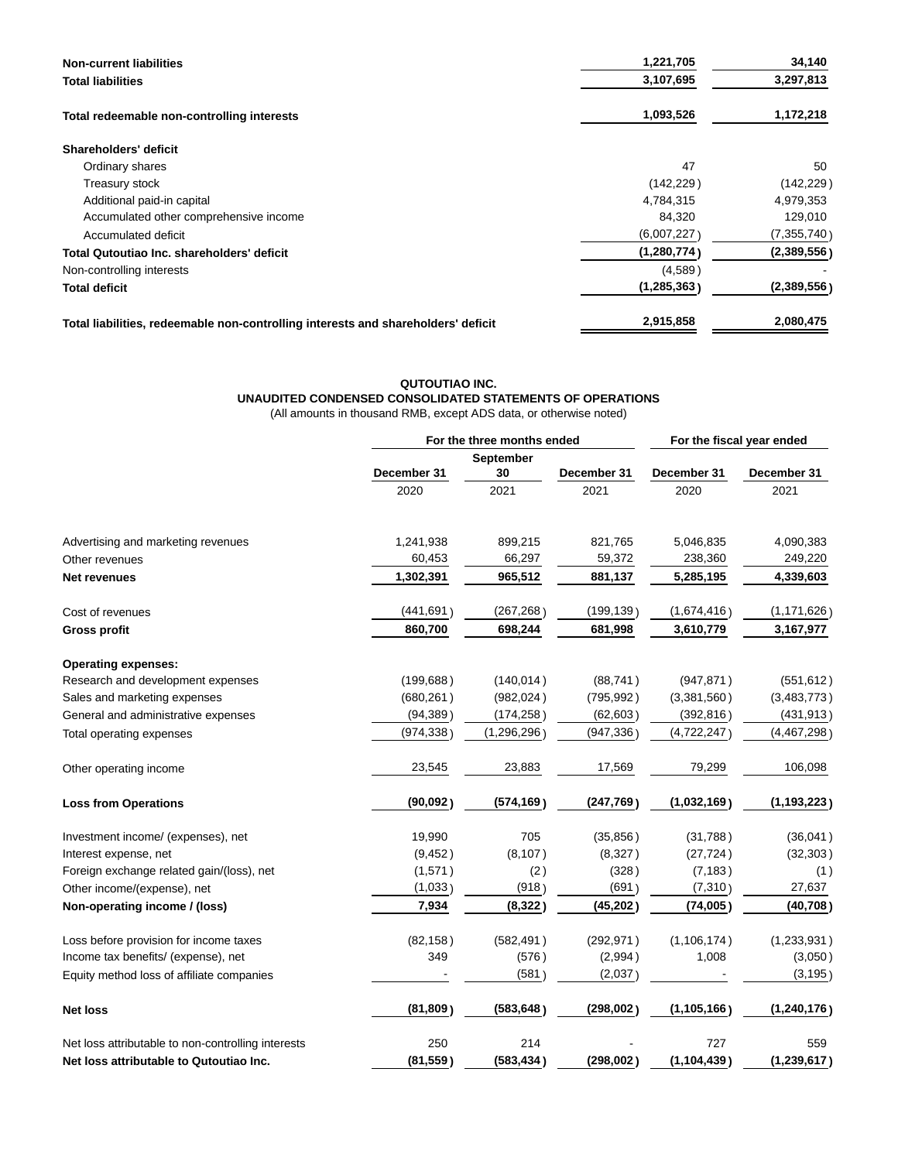| <b>Non-current liabilities</b>                                                    | 1,221,705     | 34,140        |
|-----------------------------------------------------------------------------------|---------------|---------------|
| Total liabilities                                                                 | 3,107,695     | 3,297,813     |
| Total redeemable non-controlling interests                                        | 1,093,526     | 1,172,218     |
| Shareholders' deficit                                                             |               |               |
| Ordinary shares                                                                   | 47            | 50            |
| Treasury stock                                                                    | (142, 229)    | (142, 229)    |
| Additional paid-in capital                                                        | 4,784,315     | 4,979,353     |
| Accumulated other comprehensive income                                            | 84,320        | 129,010       |
| Accumulated deficit                                                               | (6,007,227)   | (7, 355, 740) |
| Total Qutoutiao Inc. shareholders' deficit                                        | (1, 280, 774) | (2,389,556)   |
| Non-controlling interests                                                         | (4,589)       |               |
| Total deficit                                                                     | (1, 285, 363) | (2,389,556)   |
| Total liabilities, redeemable non-controlling interests and shareholders' deficit | 2,915,858     | 2,080,475     |

# **QUTOUTIAO INC. UNAUDITED CONDENSED CONSOLIDATED STATEMENTS OF OPERATIONS**

(All amounts in thousand RMB, except ADS data, or otherwise noted)

|                                                    | For the three months ended |             | For the fiscal year ended |               |               |
|----------------------------------------------------|----------------------------|-------------|---------------------------|---------------|---------------|
|                                                    |                            | September   |                           |               |               |
|                                                    | December 31                | 30          | December 31               | December 31   | December 31   |
|                                                    | 2020                       | 2021        | 2021                      | 2020          | 2021          |
| Advertising and marketing revenues                 | 1,241,938                  | 899,215     | 821,765                   | 5,046,835     | 4,090,383     |
| Other revenues                                     | 60,453                     | 66,297      | 59,372                    | 238,360       | 249,220       |
| <b>Net revenues</b>                                | 1,302,391                  | 965,512     | 881,137                   | 5,285,195     | 4,339,603     |
| Cost of revenues                                   | (441, 691)                 | (267, 268)  | (199, 139)                | (1,674,416)   | (1, 171, 626) |
| <b>Gross profit</b>                                | 860,700                    | 698,244     | 681,998                   | 3,610,779     | 3,167,977     |
| <b>Operating expenses:</b>                         |                            |             |                           |               |               |
| Research and development expenses                  | (199, 688)                 | (140, 014)  | (88, 741)                 | (947, 871)    | (551, 612)    |
| Sales and marketing expenses                       | (680, 261)                 | (982, 024)  | (795, 992)                | (3,381,560)   | (3,483,773)   |
| General and administrative expenses                | (94, 389)                  | (174, 258)  | (62, 603)                 | (392, 816)    | (431, 913)    |
| Total operating expenses                           | (974, 338)                 | (1,296,296) | (947, 336)                | (4,722,247)   | (4,467,298)   |
| Other operating income                             | 23,545                     | 23,883      | 17,569                    | 79,299        | 106,098       |
| <b>Loss from Operations</b>                        | (90,092)                   | (574, 169)  | (247, 769)                | (1,032,169)   | (1, 193, 223) |
| Investment income/ (expenses), net                 | 19,990                     | 705         | (35, 856)                 | (31,788)      | (36,041)      |
| Interest expense, net                              | (9, 452)                   | (8, 107)    | (8,327)                   | (27, 724)     | (32, 303)     |
| Foreign exchange related gain/(loss), net          | (1,571)                    | (2)         | (328)                     | (7, 183)      | (1)           |
| Other income/(expense), net                        | (1,033)                    | (918)       | (691)                     | (7, 310)      | 27,637        |
| Non-operating income / (loss)                      | 7,934                      | (8, 322)    | (45, 202)                 | (74,005)      | (40, 708)     |
| Loss before provision for income taxes             | (82, 158)                  | (582, 491)  | (292, 971)                | (1, 106, 174) | (1, 233, 931) |
| Income tax benefits/ (expense), net                | 349                        | (576)       | (2,994)                   | 1,008         | (3,050)       |
| Equity method loss of affiliate companies          |                            | (581)       | (2,037)                   |               | (3, 195)      |
| <b>Net loss</b>                                    | (81, 809)                  | (583, 648)  | (298,002)                 | (1, 105, 166) | (1, 240, 176) |
| Net loss attributable to non-controlling interests | 250                        | 214         |                           | 727           | 559           |
| Net loss attributable to Qutoutiao Inc.            | (81, 559)                  | (583, 434)  | (298,002)                 | (1, 104, 439) | (1, 239, 617) |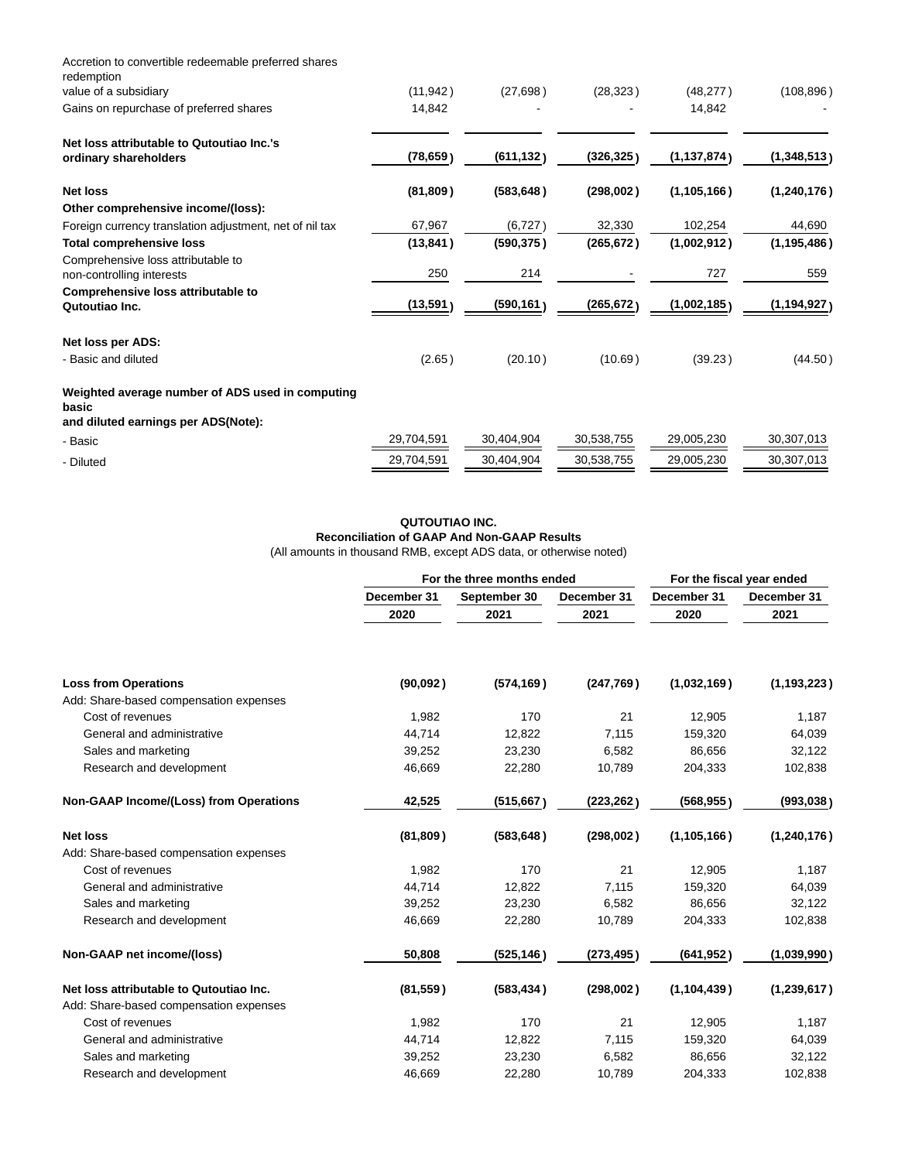| Accretion to convertible redeemable preferred shares<br>redemption                               |            |            |            |               |               |
|--------------------------------------------------------------------------------------------------|------------|------------|------------|---------------|---------------|
| value of a subsidiary                                                                            | (11, 942)  | (27, 698)  | (28, 323)  | (48, 277)     | (108, 896)    |
| Gains on repurchase of preferred shares                                                          | 14,842     |            |            | 14,842        |               |
| Net loss attributable to Qutoutiao Inc.'s                                                        |            |            |            |               |               |
| ordinary shareholders                                                                            | (78, 659)  | (611, 132) | (326, 325) | (1, 137, 874) | (1,348,513)   |
| <b>Net loss</b>                                                                                  | (81, 809)  | (583, 648) | (298,002)  | (1, 105, 166) | (1, 240, 176) |
| Other comprehensive income/(loss):                                                               |            |            |            |               |               |
| Foreign currency translation adjustment, net of nil tax                                          | 67,967     | (6,727)    | 32,330     | 102,254       | 44,690        |
| <b>Total comprehensive loss</b>                                                                  | (13, 841)  | (590, 375) | (265, 672) | (1,002,912)   | (1, 195, 486) |
| Comprehensive loss attributable to<br>non-controlling interests                                  | 250        | 214        |            | 727           | 559           |
| Comprehensive loss attributable to                                                               |            |            |            |               |               |
| Qutoutiao Inc.                                                                                   | (13, 591)  | (590, 161) | (265, 672) | (1,002,185)   | (1,194,927)   |
| Net loss per ADS:                                                                                |            |            |            |               |               |
| - Basic and diluted                                                                              | (2.65)     | (20.10)    | (10.69)    | (39.23)       | (44.50)       |
| Weighted average number of ADS used in computing<br>basic<br>and diluted earnings per ADS(Note): |            |            |            |               |               |
| - Basic                                                                                          | 29,704,591 | 30,404,904 | 30,538,755 | 29,005,230    | 30,307,013    |
| - Diluted                                                                                        | 29,704,591 | 30,404,904 | 30,538,755 | 29,005,230    | 30,307,013    |

## **QUTOUTIAO INC.**

**Reconciliation of GAAP And Non-GAAP Results** (All amounts in thousand RMB, except ADS data, or otherwise noted)

|                                               | For the three months ended |              |             | For the fiscal year ended |               |  |
|-----------------------------------------------|----------------------------|--------------|-------------|---------------------------|---------------|--|
|                                               | December 31                | September 30 | December 31 | December 31               | December 31   |  |
|                                               | 2020                       | 2021         | 2021        | 2020                      | 2021          |  |
| <b>Loss from Operations</b>                   | (90,092)                   | (574, 169)   | (247,769)   | (1,032,169)               | (1, 193, 223) |  |
| Add: Share-based compensation expenses        |                            |              |             |                           |               |  |
| Cost of revenues                              | 1,982                      | 170          | 21          | 12,905                    | 1,187         |  |
| General and administrative                    | 44,714                     | 12,822       | 7,115       | 159,320                   | 64,039        |  |
| Sales and marketing                           | 39,252                     | 23,230       | 6,582       | 86,656                    | 32,122        |  |
| Research and development                      | 46,669                     | 22,280       | 10,789      | 204,333                   | 102,838       |  |
| <b>Non-GAAP Income/(Loss) from Operations</b> | 42,525                     | (515, 667)   | (223, 262)  | (568, 955)                | (993, 038)    |  |
| <b>Net loss</b>                               | (81, 809)                  | (583, 648)   | (298,002)   | (1, 105, 166)             | (1, 240, 176) |  |
| Add: Share-based compensation expenses        |                            |              |             |                           |               |  |
| Cost of revenues                              | 1,982                      | 170          | 21          | 12,905                    | 1,187         |  |
| General and administrative                    | 44,714                     | 12,822       | 7,115       | 159,320                   | 64,039        |  |
| Sales and marketing                           | 39,252                     | 23,230       | 6,582       | 86,656                    | 32,122        |  |
| Research and development                      | 46,669                     | 22,280       | 10,789      | 204,333                   | 102,838       |  |
| Non-GAAP net income/(loss)                    | 50,808                     | (525, 146)   | (273, 495)  | (641, 952)                | (1,039,990)   |  |
| Net loss attributable to Qutoutiao Inc.       | (81, 559)                  | (583, 434)   | (298,002)   | (1, 104, 439)             | (1, 239, 617) |  |
| Add: Share-based compensation expenses        |                            |              |             |                           |               |  |
| Cost of revenues                              | 1,982                      | 170          | 21          | 12,905                    | 1,187         |  |
| General and administrative                    | 44,714                     | 12,822       | 7,115       | 159,320                   | 64,039        |  |
| Sales and marketing                           | 39,252                     | 23,230       | 6,582       | 86,656                    | 32,122        |  |
| Research and development                      | 46,669                     | 22,280       | 10,789      | 204,333                   | 102,838       |  |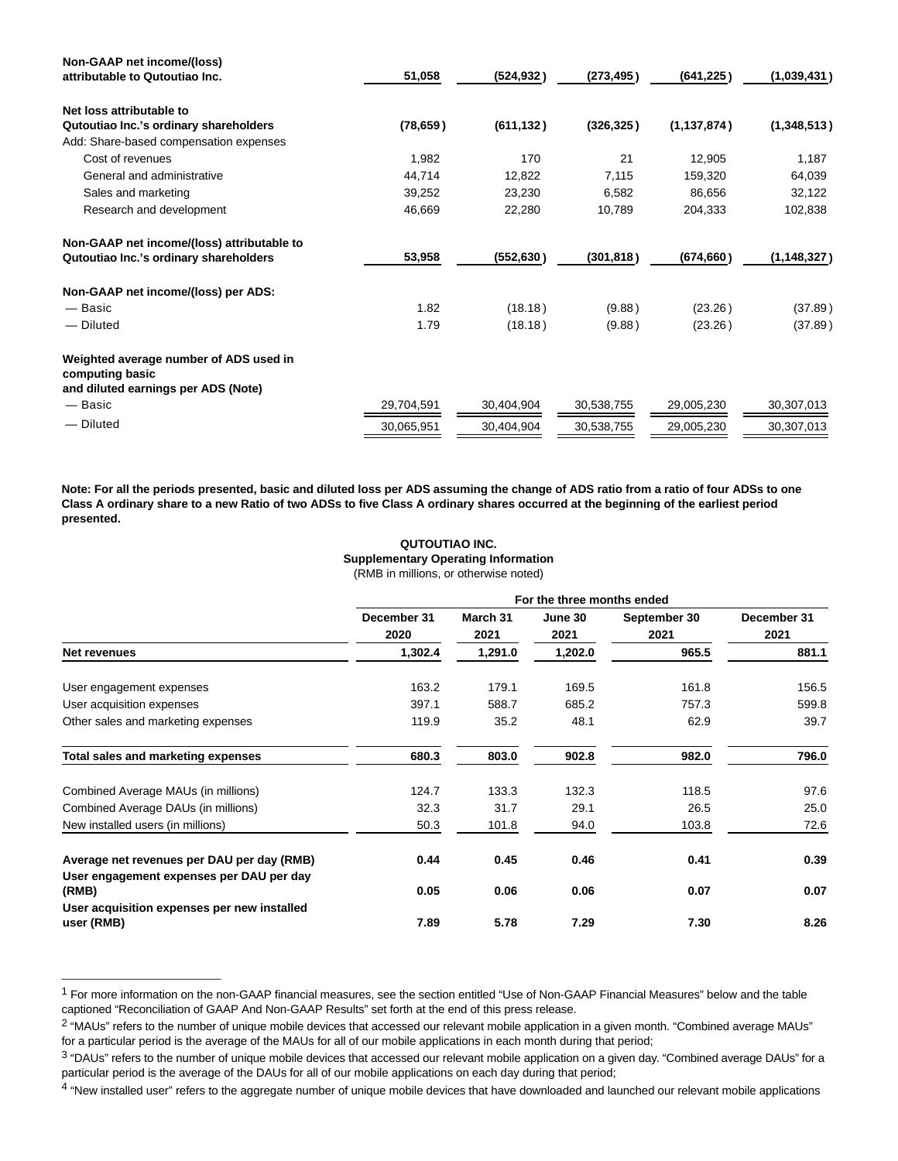| Non-GAAP net income/(loss)                                                                       |            |            |            |               |               |
|--------------------------------------------------------------------------------------------------|------------|------------|------------|---------------|---------------|
| attributable to Qutoutiao Inc.                                                                   | 51,058     | (524, 932) | (273, 495) | (641, 225)    | (1,039,431)   |
| Net loss attributable to                                                                         |            |            |            |               |               |
| Qutoutiao Inc.'s ordinary shareholders                                                           | (78, 659)  | (611, 132) | (326, 325) | (1, 137, 874) | (1,348,513)   |
| Add: Share-based compensation expenses                                                           |            |            |            |               |               |
| Cost of revenues                                                                                 | 1,982      | 170        | 21         | 12,905        | 1,187         |
| General and administrative                                                                       | 44,714     | 12,822     | 7,115      | 159,320       | 64,039        |
| Sales and marketing                                                                              | 39,252     | 23,230     | 6,582      | 86,656        | 32,122        |
| Research and development                                                                         | 46,669     | 22,280     | 10,789     | 204,333       | 102,838       |
| Non-GAAP net income/(loss) attributable to                                                       |            |            |            |               |               |
| Qutoutiao Inc.'s ordinary shareholders                                                           | 53,958     | (552, 630) | (301, 818) | (674, 660)    | (1, 148, 327) |
| Non-GAAP net income/(loss) per ADS:                                                              |            |            |            |               |               |
| — Basic                                                                                          | 1.82       | (18.18)    | (9.88)     | (23.26)       | (37.89)       |
| - Diluted                                                                                        | 1.79       | (18.18)    | (9.88)     | (23.26)       | (37.89)       |
| Weighted average number of ADS used in<br>computing basic<br>and diluted earnings per ADS (Note) |            |            |            |               |               |
| — Basic                                                                                          | 29,704,591 | 30,404,904 | 30,538,755 | 29,005,230    | 30,307,013    |
|                                                                                                  |            |            |            |               |               |
| - Diluted                                                                                        | 30,065,951 | 30,404,904 | 30,538,755 | 29,005,230    | 30,307,013    |

**Note: For all the periods presented, basic and diluted loss per ADS assuming the change of ADS ratio from a ratio of four ADSs to one Class A ordinary share to a new Ratio of two ADSs to five Class A ordinary shares occurred at the beginning of the earliest period presented.**

# **QUTOUTIAO INC.**

**Supplementary Operating Information** (RMB in millions, or otherwise noted)

|                                                           | For the three months ended |                  |                 |                      |                     |
|-----------------------------------------------------------|----------------------------|------------------|-----------------|----------------------|---------------------|
|                                                           | December 31<br>2020        | March 31<br>2021 | June 30<br>2021 | September 30<br>2021 | December 31<br>2021 |
| Net revenues                                              | 1,302.4                    | 1,291.0          | 1,202.0         | 965.5                | 881.1               |
| User engagement expenses                                  | 163.2                      | 179.1            | 169.5           | 161.8                | 156.5               |
| User acquisition expenses                                 | 397.1                      | 588.7            | 685.2           | 757.3                | 599.8               |
| Other sales and marketing expenses                        | 119.9                      | 35.2             | 48.1            | 62.9                 | 39.7                |
| Total sales and marketing expenses                        | 680.3                      | 803.0            | 902.8           | 982.0                | 796.0               |
| Combined Average MAUs (in millions)                       | 124.7                      | 133.3            | 132.3           | 118.5                | 97.6                |
| Combined Average DAUs (in millions)                       | 32.3                       | 31.7             | 29.1            | 26.5                 | 25.0                |
| New installed users (in millions)                         | 50.3                       | 101.8            | 94.0            | 103.8                | 72.6                |
| Average net revenues per DAU per day (RMB)                | 0.44                       | 0.45             | 0.46            | 0.41                 | 0.39                |
| User engagement expenses per DAU per day<br>(RMB)         | 0.05                       | 0.06             | 0.06            | 0.07                 | 0.07                |
| User acquisition expenses per new installed<br>user (RMB) | 7.89                       | 5.78             | 7.29            | 7.30                 | 8.26                |

<sup>&</sup>lt;sup>1</sup> For more information on the non-GAAP financial measures, see the section entitled "Use of Non-GAAP Financial Measures" below and the table captioned "Reconciliation of GAAP And Non-GAAP Results" set forth at the end of this press release.

 $\_$ 

<sup>&</sup>lt;sup>2</sup> "MAUs" refers to the number of unique mobile devices that accessed our relevant mobile application in a given month. "Combined average MAUs" for a particular period is the average of the MAUs for all of our mobile applications in each month during that period;

<sup>&</sup>lt;sup>3</sup> "DAUs" refers to the number of unique mobile devices that accessed our relevant mobile application on a given day. "Combined average DAUs" for a particular period is the average of the DAUs for all of our mobile applications on each day during that period;

<sup>&</sup>lt;sup>4</sup> "New installed user" refers to the aggregate number of unique mobile devices that have downloaded and launched our relevant mobile applications